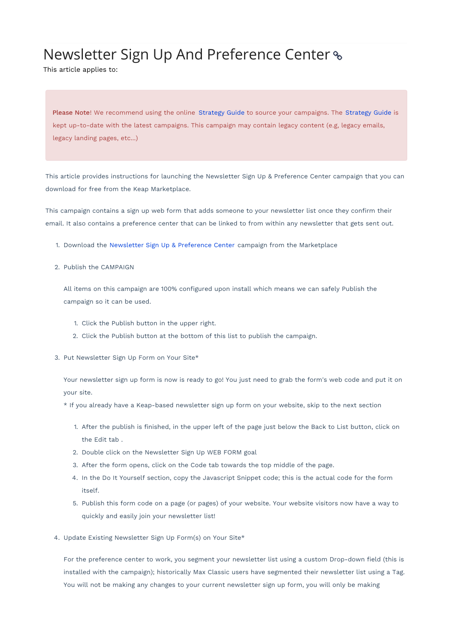## Newsletter Sign Up And Preference Center

This article applies to:

Please Note! We recommend using the online Strategy Guide to source your campaigns. The Strategy Guide is kept up-to-date with the latest campaigns. This campaign may contain legacy content (e.g, legacy emails, legacy landing pages, etc...)

This article provides instructions for launching the Newsletter Sign Up & Preference Center campaign that you can download for free from the Keap Marketplace.

This campaign contains a sign up web form that adds someone to your newsletter list once they confirm their email. It also contains a preference center that can be linked to from within any newsletter that gets sent out.

- 1. Download the Newsletter Sign Up & Preference Center campaign from the Marketplace
- 2. Publish the CAMPAIGN

All items on this campaign are 100% configured upon install which means we can safely Publish the campaign so it can be used.

- 1. Click the Publish button in the upper right.
- 2. Click the Publish button at the bottom of this list to publish the campaign.
- 3. Put Newsletter Sign Up Form on Your Site\*

Your newsletter sign up form is now is ready to go! You just need to grab the form's web code and put it on your site.

\* If you already have a Keap-based newsletter sign up form on your website, skip to the next section

- 1. After the publish is finished, in the upper left of the page just below the Back to List button, click on the Edit tab .
- 2. Double click on the Newsletter Sign Up WEB FORM goal
- 3. After the form opens, click on the Code tab towards the top middle of the page.
- 4. In the Do It Yourself section, copy the Javascript Snippet code; this is the actual code for the form itself.
- 5. Publish this form code on a page (or pages) of your website. Your website visitors now have a way to quickly and easily join your newsletter list!
- 4. Update Existing Newsletter Sign Up Form(s) on Your Site\*

For the preference center to work, you segment your newsletter list using a custom Drop-down field (this is installed with the campaign); historically Max Classic users have segmented their newsletter list using a Tag. You will not be making any changes to your current newsletter sign up form, you will only be making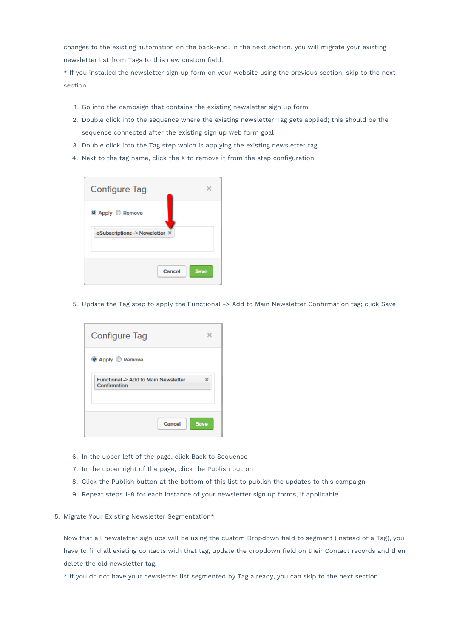changes to the existing automation on the back-end. In the next section, you will migrate your existing newsletter list from Tags to this new custom field.

\* If you installed the newsletter sign up form on your website using the previous section, skip to the next section

- 1. Go into the campaign that contains the existing newsletter sign up form
- 2. Double click into the sequence where the existing newsletter Tag gets applied; this should be the sequence connected after the existing sign up web form goal
- 3. Double click into the Tag step which is applying the existing newsletter tag
- 4. Next to the tag name, click the X to remove it from the step configuration



5. Update the Tag step to apply the Functional -> Add to Main Newsletter Confirmation tag; click Save

| <b>Configure Tag</b>                                 |             |
|------------------------------------------------------|-------------|
| <b>O</b> Apply C Remove                              |             |
| Functional -> Add to Main Newsletter<br>Confirmation | ×           |
| Cancel                                               | <b>Save</b> |

- 6. In the upper left of the page, click Back to Sequence
- 7. In the upper right of the page, click the Publish button
- 8. Click the Publish button at the bottom of this list to publish the updates to this campaign
- 9. Repeat steps 1-8 for each instance of your newsletter sign up forms, if applicable
- 5. Migrate Your Existing Newsletter Segmentation\*

Now that all newsletter sign ups will be using the custom Dropdown field to segment (instead of a Tag), you have to find all existing contacts with that tag, update the dropdown field on their Contact records and then delete the old newsletter tag.

\* If you do not have your newsletter list segmented by Tag already, you can skip to the next section